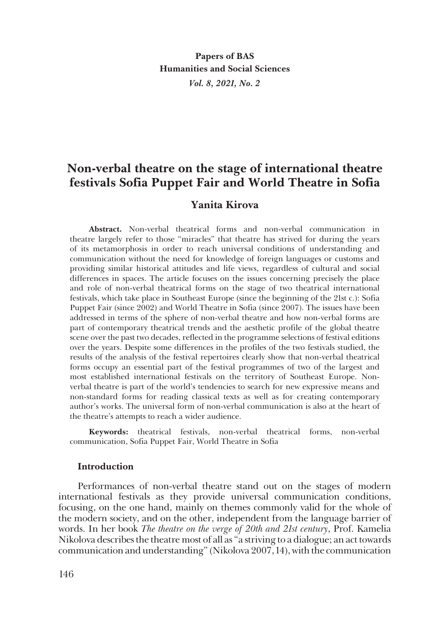# **Non-verbal theatre on the stage of international theatre festivals Sofia Puppet Fair and World Theatre in Sofia**

# **Yanita Kirova**

**Abstract.** Non-verbal theatrical forms and non-verbal communication in theatre largely refer to those "miracles" that theatre has strived for during the years of its metamorphosis in order to reach universal conditions of understanding and communication without the need for knowledge of foreign languages or customs and providing similar historical attitudes and life views, regardless of cultural and social differences in spaces. The article focuses on the issues concerning precisely the place and role of non-verbal theatrical forms on the stage of two theatrical international festivals, which take place in Southeast Europe (since the beginning of the 21st c.): Sofia Puppet Fair (since 2002) and World Theatre in Sofia (since 2007). The issues have been addressed in terms of the sphere of non-verbal theatre and how non-verbal forms are part of contemporary theatrical trends and the aesthetic profile of the global theatre scene over the past two decades, reflected in the programme selections of festival editions over the years. Despite some differences in the profiles of the two festivals studied, the results of the analysis of the festival repertoires clearly show that non-verbal theatrical forms occupy an essential part of the festival programmes of two of the largest and most established international festivals on the territory of Southeast Europe. Nonverbal theatre is part of the world's tendencies to search for new expressive means and non-standard forms for reading classical texts as well as for creating contemporary author's works. The universal form of non-verbal communication is also at the heart of the theatre's attempts to reach a wider audience.

**Keywords:** theatrical festivals, non-verbal theatrical forms, non-verbal communication, Sofia Puppet Fair, World Theatre in Sofia

#### **Introduction**

Performances of non-verbal theatre stand out on the stages of modern international festivals as they provide universal communication conditions, focusing, on the one hand, mainly on themes commonly valid for the whole of the modern society, and on the other, independent from the language barrier of words. In her book *The theatre on the verge of 20th and 21st century*, Prof. Kamelia Nikolova describes the theatre most of all as "a striving to a dialogue; an act towards communication and understanding" (Nikolova 2007, 14), with the communication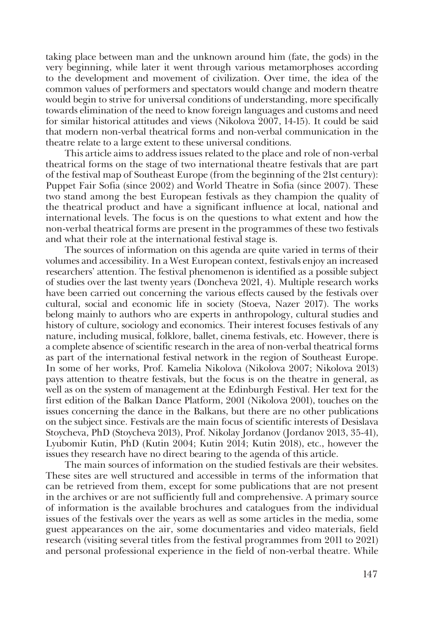taking place between man and the unknown around him (fate, the gods) in the very beginning, while later it went through various metamorphoses according to the development and movement of civilization. Over time, the idea of the common values of performers and spectators would change and modern theatre would begin to strive for universal conditions of understanding, more specifically towards elimination of the need to know foreign languages and customs and need for similar historical attitudes and views (Nikolova 2007, 14-15). It could be said that modern non-verbal theatrical forms and non-verbal communication in the theatre relate to a large extent to these universal conditions.

This article aims to address issues related to the place and role of non-verbal theatrical forms on the stage of two international theatre festivals that are part of the festival map of Southeast Europe (from the beginning of the 21st century): Puppet Fair Sofia (since 2002) and World Theatre in Sofia (since 2007). These two stand among the best European festivals as they champion the quality of the theatrical product and have a significant influence at local, national and international levels. The focus is on the questions to what extent and how the non-verbal theatrical forms are present in the programmes of these two festivals and what their role at the international festival stage is.

The sources of information on this agenda are quite varied in terms of their volumes and accessibility. In a West European context, festivals enjoy an increased researchers' attention. The festival phenomenon is identified as a possible subject of studies over the last twenty years (Doncheva 2021, 4). Multiple research works have been carried out concerning the various effects caused by the festivals over cultural, social and economic life in society (Stoeva, Nazer 2017). The works belong mainly to authors who are experts in anthropology, cultural studies and history of culture, sociology and economics. Their interest focuses festivals of any nature, including musical, folklore, ballet, cinema festivals, etc. However, there is a complete absence of scientific research in the area of non-verbal theatrical forms as part of the international festival network in the region of Southeast Europe. In some of her works, Prof. Kamelia Nikolova (Nikolova 2007; Nikolova 2013) pays attention to theatre festivals, but the focus is on the theatre in general, as well as on the system of management at the Edinburgh Festival. Her text for the first edition of the Balkan Dance Platform, 2001 (Nikolova 2001), touches on the issues concerning the dance in the Balkans, but there are no other publications on the subject since. Festivals are the main focus of scientific interests of Desislava Stoycheva, PhD (Stoycheva 2013), Prof. Nikolay Jordanov (Jordanov 2013, 35-41), Lyubomir Kutin, PhD (Kutin 2004; Kutin 2014; Kutin 2018), etc., however the issues they research have no direct bearing to the agenda of this article.

The main sources of information on the studied festivals are their websites. These sites are well structured and accessible in terms of the information that can be retrieved from them, except for some publications that are not present in the archives or are not sufficiently full and comprehensive. A primary source of information is the available brochures and catalogues from the individual issues of the festivals over the years as well as some articles in the media, some guest appearances on the air, some documentaries and video materials, field research (visiting several titles from the festival programmes from 2011 to 2021) and personal professional experience in the field of non-verbal theatre. While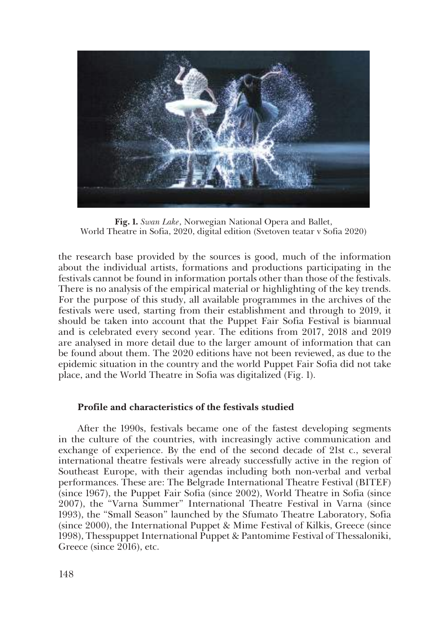

**Fig. 1.** *Swan Lake*, Norwegian National Opera and Ballet, World Theatre in Sofia, 2020, digital edition (Svetoven teatar v Sofia 2020)

the research base provided by the sources is good, much of the information about the individual artists, formations and productions participating in the festivals cannot be found in information portals other than those of the festivals. There is no analysis of the empirical material or highlighting of the key trends. For the purpose of this study, all available programmes in the archives of the festivals were used, starting from their establishment and through to 2019, it should be taken into account that the Puppet Fair Sofia Festival is biannual and is celebrated every second year. The editions from 2017, 2018 and 2019 are analysed in more detail due to the larger amount of information that can be found about them. The 2020 editions have not been reviewed, as due to the epidemic situation in the country and the world Puppet Fair Sofia did not take place, and the World Theatre in Sofia was digitalized (Fig. 1).

## **Profile and characteristics of the festivals studied**

After the 1990s, festivals became one of the fastest developing segments in the culture of the countries, with increasingly active communication and exchange of experience. By the end of the second decade of 21st c., several international theatre festivals were already successfully active in the region of Southeast Europe, with their agendas including both non-verbal and verbal performances. These are: The Belgrade International Theatre Festival (BITEF) (since 1967), the Puppet Fair Sofia (since 2002), World Theatre in Sofia (since 2007), the "Varna Summer" International Theatre Festival in Varna (since 1993), the "Small Season" launched by the Sfumato Theatre Laboratory, Sofia (since 2000), the International Puppet & Mime Festival of Kilkis, Greece (since 1998), Thesspuppet International Puppet & Pantomime Festival of Thessaloniki, Greece (since 2016), etc.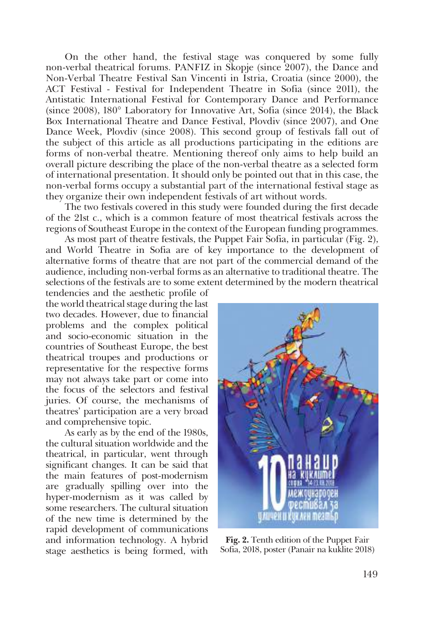On the other hand, the festival stage was conquered by some fully non-verbal theatrical forums. PANFIZ in Skopje (since 2007), the Dance and Non-Verbal Theatre Festival San Vincenti in Istria, Croatia (since 2000), the ACT Festival - Festival for Independent Theatre in Sofia (since 2011), the Antistatic International Festival for Contemporary Dance and Performance (since 2008), 180° Laboratory for Innovative Art, Sofia (since 2014), the Black Box International Theatre and Dance Festival, Plovdiv (since 2007), and One Dance Week, Plovdiv (since 2008). This second group of festivals fall out of the subject of this article as all productions participating in the editions are forms of non-verbal theatre. Mentioning thereof only aims to help build an overall picture describing the place of the non-verbal theatre as a selected form of international presentation. It should only be pointed out that in this case, the non-verbal forms occupy a substantial part of the international festival stage as they organize their own independent festivals of art without words.

The two festivals covered in this study were founded during the first decade of the 21st c., which is a common feature of most theatrical festivals across the regions of Southeast Europe in the context of the European funding programmes.

As most part of theatre festivals, the Puppet Fair Sofia, in particular (Fig. 2), and World Theatre in Sofia are of key importance to the development of alternative forms of theatre that are not part of the commercial demand of the audience, including non-verbal forms as an alternative to traditional theatre. The selections of the festivals are to some extent determined by the modern theatrical

tendencies and the aesthetic profile of the world theatrical stage during the last two decades. However, due to financial problems and the complex political and socio-economic situation in the countries of Southeast Europe, the best theatrical troupes and productions or representative for the respective forms may not always take part or come into the focus of the selectors and festival juries. Of course, the mechanisms of theatres' participation are a very broad and comprehensive topic.

As early as by the end of the 1980s, the cultural situation worldwide and the theatrical, in particular, went through significant changes. It can be said that the main features of post-modernism are gradually spilling over into the hyper-modernism as it was called by some researchers. The cultural situation of the new time is determined by the rapid development of communications and information technology. A hybrid stage aesthetics is being formed, with



**Fig. 2.** Tenth edition of the Puppet Fair Sofia, 2018, poster (Panair na kuklite 2018)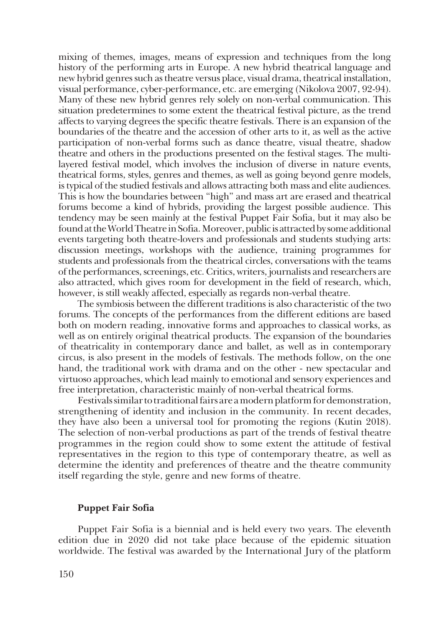mixing of themes, images, means of expression and techniques from the long history of the performing arts in Europe. A new hybrid theatrical language and new hybrid genres such as theatre versus place, visual drama, theatrical installation, visual performance, cyber-performance, etc. are emerging (Nikolova 2007, 92-94). Many of these new hybrid genres rely solely on non-verbal communication. This situation predetermines to some extent the theatrical festival picture, as the trend affects to varying degrees the specific theatre festivals. There is an expansion of the boundaries of the theatre and the accession of other arts to it, as well as the active participation of non-verbal forms such as dance theatre, visual theatre, shadow theatre and others in the productions presented on the festival stages. The multilayered festival model, which involves the inclusion of diverse in nature events, theatrical forms, styles, genres and themes, as well as going beyond genre models, is typical of the studied festivals and allows attracting both mass and elite audiences. This is how the boundaries between "high" and mass art are erased and theatrical forums become a kind of hybrids, providing the largest possible audience. This tendency may be seen mainly at the festival Puppet Fair Sofia, but it may also be found at the World Theatre in Sofia. Moreover, public is attracted by some additional events targeting both theatre-lovers and professionals and students studying arts: discussion meetings, workshops with the audience, training programmes for students and professionals from the theatrical circles, conversations with the teams of the performances, screenings, etc. Critics, writers, journalists and researchers are also attracted, which gives room for development in the field of research, which, however, is still weakly affected, especially as regards non-verbal theatre.

The symbiosis between the different traditions is also characteristic of the two forums. The concepts of the performances from the different editions are based both on modern reading, innovative forms and approaches to classical works, as well as on entirely original theatrical products. The expansion of the boundaries of theatricality in contemporary dance and ballet, as well as in contemporary circus, is also present in the models of festivals. The methods follow, on the one hand, the traditional work with drama and on the other - new spectacular and virtuoso approaches, which lead mainly to emotional and sensory experiences and free interpretation, characteristic mainly of non-verbal theatrical forms.

Festivals similar to traditional fairs are a modern platform for demonstration, strengthening of identity and inclusion in the community. In recent decades, they have also been a universal tool for promoting the regions (Kutin 2018). The selection of non-verbal productions as part of the trends of festival theatre programmes in the region could show to some extent the attitude of festival representatives in the region to this type of contemporary theatre, as well as determine the identity and preferences of theatre and the theatre community itself regarding the style, genre and new forms of theatre.

#### **Puppet Fair Sofia**

Puppet Fair Sofia is a biennial and is held every two years. The eleventh edition due in 2020 did not take place because of the epidemic situation worldwide. The festival was awarded by the International Jury of the platform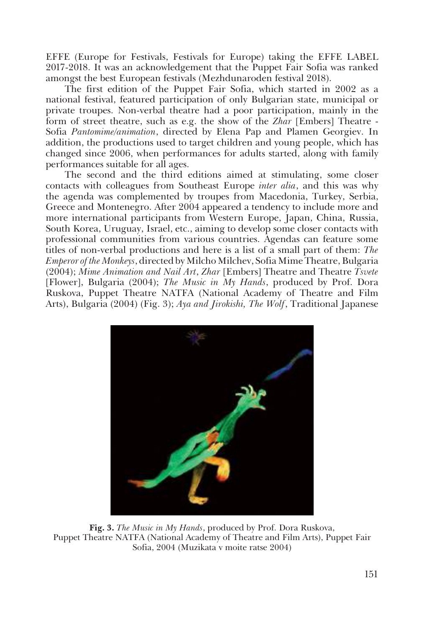EFFE (Europe for Festivals, Festivals for Europe) taking the EFFE LABEL 2017-2018. It was an acknowledgement that the Puppet Fair Sofia was ranked amongst the best European festivals (Mezhdunaroden festival 2018).

The first edition of the Puppet Fair Sofia, which started in 2002 as a national festival, featured participation of only Bulgarian state, municipal or private troupes. Non-verbal theatre had a poor participation, mainly in the form of street theatre, such as e.g. the show of the *Zhar* [Embers] Theatre - Sofia *Pantomime/animation*, directed by Elena Pap and Plamen Georgiev. In addition, the productions used to target children and young people, which has changed since 2006, when performances for adults started, along with family performances suitable for all ages.

The second and the third editions aimed at stimulating, some closer contacts with colleagues from Southeast Europe *inter alia*, and this was why the agenda was complemented by troupes from Macedonia, Turkey, Serbia, Greece and Montenegro. After 2004 appeared a tendency to include more and more international participants from Western Europe, Japan, China, Russia, South Korea, Uruguay, Israel, etc., aiming to develop some closer contacts with professional communities from various countries. Agendas can feature some titles of non-verbal productions and here is a list of a small part of them: *The Emperor of the Monkeys*, directed by Milcho Milchev, Sofia Mime Theatre, Bulgaria (2004); *Mime Animation and Nail Art*, *Zhar* [Embers] Theatre and Theatre *Tsvete* [Flower], Bulgaria (2004); *The Music in My Hands*, produced by Prof. Dora Ruskova, Puppet Theatre NATFA (National Academy of Theatre and Film Arts), Bulgaria (2004) (Fig. 3); *Aya and Jirokishi, The Wolf*, Traditional Japanese



**Fig. 3.** *The Music in My Hands*, produced by Prof. Dora Ruskova, Puppet Theatre NATFA (National Academy of Theatre and Film Arts), Puppet Fair Sofia, 2004 (Muzikata v moite ratse 2004)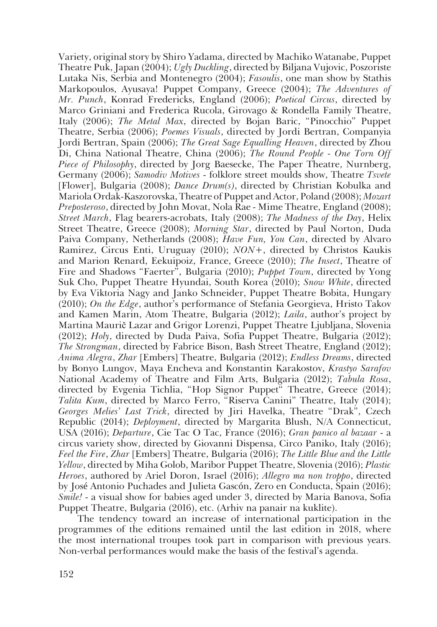Variety, original story by Shiro Yadama, directed by Machiko Watanabe, Puppet Theatre Puk, Japan (2004); *Ugly Duckling*, directed by Biljana Vujovic, Poszoriste Lutaka Nis, Serbia and Montenegro (2004); *Fasoulis*, one man show by Stathis Markopoulos, Ayusaya! Puppet Company, Greece (2004); *The Adventures of Mr. Punch*, Konrad Fredericks, England (2006); *Poetical Circus*, directed by Marco Griniani and Frederica Rucola, Girovago & Rondella Family Theatre, Italy (2006); *The Metal Max*, directed by Bojan Baric, "Pinocchio" Puppet Theatre, Serbia (2006); *Poemes Visuals*, directed by Jordi Bertran, Companyia Jordi Bertran, Spain (2006); *The Great Sage Equalling Heaven*, directed by Zhou Di, China National Theatre, China (2006); *The Round People - One Torn Off Piece of Philosophy*, directed by Jorg Baesecke, The Paper Theatre, Nurnberg, Germany (2006); *Samodiv Motives* - folklore street moulds show, Theatre *Tsvete* [Flower], Bulgaria (2008); *Dance Drum(s)*, directed by Christian Kobulka and Mariola Ordak-Kaszorovska, Theatre of Puppet and Actor, Poland (2008); *Mozart Prеposteroso*, directed by John Movat, Nola Rae - Mime Theatre, England (2008); *Street March*, Flag bearers-acrobats, Italy (2008); *The Madness of the Day*, Helix Street Theatre, Greece (2008); *Morning Star*, directed by Paul Norton, Duda Paiva Company, Netherlands (2008); *Have Fun, You Can*, directed by Alvaro Ramirez, Circus Enti, Uruguay (2010); *NON+*, directed by Christos Kaukis and Marion Renard, Eekuipoiz, France, Greece (2010); *The Insect*, Theatre of Fire and Shadows "Faerter", Bulgaria (2010); *Puppet Town*, directed by Yong Suk Cho, Puppet Theatre Hyundai, South Korea (2010); *Snow White*, directed by Eva Viktoria Nagy and Janko Schneider, Puppet Theatre Bobita, Hungary (2010); *On the Edge*, author's performance of Stefania Georgieva, Hristo Takov and Kamen Marin, Atom Theatre, Bulgaria (2012); *Laila*, author's project by Martina Maurič Lazar and Grigor Lorenzi, Puppet Theatre Ljubljana, Slovenia (2012); *Holy*, directed by Duda Paiva, Sofia Puppet Theatre, Bulgaria (2012); *The Strongman*, directed by Fabrice Bison, Bash Street Theatre, England (2012); *Anima Alegra*, *Zhar* [Embers] Theatre, Bulgaria (2012); *Endless Dreams*, directed by Bonyo Lungov, Maya Encheva and Konstantin Karakostov, *Krastyo Sarafov* National Academy of Theatre and Film Arts, Bulgaria (2012); *Tabula Rosa*, directed by Evgenia Tichlia, "Hop Signor Puppet" Theatre, Greece (2014); *Talita Kum*, directed by Marco Ferro, "Riserva Canini" Theatre, Italy (2014); *Georges Melies' Last Trick*, directed by Jiri Havelka, Theatre "Drak", Czech Republic (2014); *Deployment*, directed by Margarita Blush, N/A Connecticut, USA (2016); *Departure*, Cie Tac O Tac, France (2016); *Gran panico al bazaar* - a circus variety show, directed by Giovanni Dispensa, Circo Paniko, Italy (2016); *Feel the Fire*, *Zhar* [Embers] Theatre, Bulgaria (2016); *The Little Blue and the Little Yellow*, directed by Miha Golob, Maribor Puppet Theatre, Slovenia (2016); *Plastic Heroes*, authored by Ariel Doron, Israel (2016); *Allegro ma non troppo*, directed by José Antonio Puchades and Julieta Gascón, Zero en Conducta, Spain (2016); *Smile!* - a visual show for babies aged under 3, directed by Maria Banova, Sofia Puppet Theatre, Bulgaria (2016), etc. (Arhiv na panair na kuklite).

The tendency toward an increase of international participation in the programmes of the editions remained until the last edition in 2018, where the most international troupes took part in comparison with previous years. Non-verbal performances would make the basis of the festival's agenda.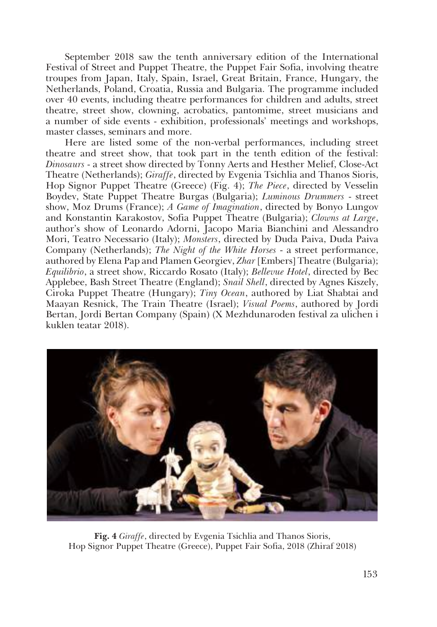September 2018 saw the tenth anniversary edition of the International Festival of Street and Puppet Theatre, the Puppet Fair Sofia, involving theatre troupes from Japan, Italy, Spain, Israel, Great Britain, France, Hungary, the Netherlands, Poland, Croatia, Russia and Bulgaria. The programme included over 40 events, including theatre performances for children and adults, street theatre, street show, clowning, acrobatics, pantomime, street musicians and a number of side events - exhibition, professionals' meetings and workshops, master classes, seminars and more.

Here are listed some of the non-verbal performances, including street theatre and street show, that took part in the tenth edition of the festival: *Dinosaurs* - a street show directed by Tonny Aerts and Hesther Melief, Close-Act Theatre (Netherlands); *Giraffe*, directed by Evgenia Tsichlia and Thanos Sioris, Hop Signor Puppet Theatre (Greece) (Fig. 4); *The Piece*, directed by Vesselin Boydev, State Puppet Theatre Burgas (Bulgaria); *Luminous Drummers* - street show, Moz Drums (France); *A Game of Imagination*, directed by Bonyo Lungov and Konstantin Karakostov, Sofia Puppet Theatre (Bulgaria); *Clowns at Large*, author's show of Leonardo Adorni, Jacopo Maria Bianchini and Alessandro Mori, Teatro Necessario (Italy); *Monsters*, directed by Duda Paiva, Duda Paiva Company (Netherlands); *The Night of the White Horses* - a street performance, authored by Elena Pap and Plamen Georgiev, *Zhar* [Embers] Theatre (Bulgaria); *Equilibrio*, a street show, Riccardo Rosato (Italy); *Bellevue Hotel*, directed by Bec Applebee, Bash Street Theatre (England); *Snail Shell*, directed by Agnes Kiszely, Ciroka Puppet Theatre (Hungary); *Tiny Ocean*, authored by Liat Shabtai and Maayan Resnick, The Train Theatre (Israel); *Visual Poems*, authored by Jordi Bertan, Jordi Bertan Company (Spain) (X Mezhdunaroden festival za ulichen i kuklen teatar 2018).



**Fig. 4** *Giraffe*, directed by Evgenia Tsichlia and Thanos Sioris, Hop Signor Puppet Theatre (Greece), Puppet Fair Sofia, 2018 (Zhiraf 2018)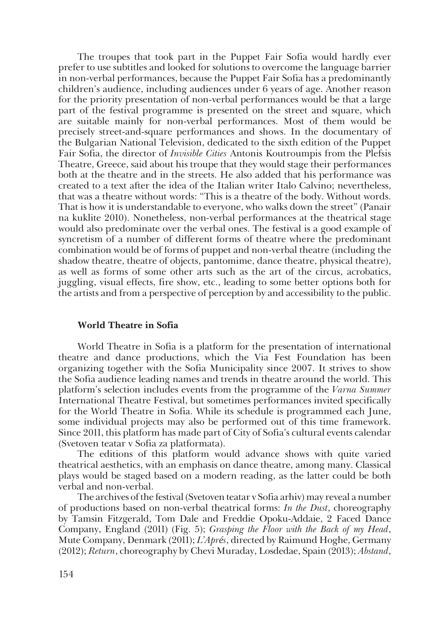The troupes that took part in the Puppet Fair Sofia would hardly ever prefer to use subtitles and looked for solutions to overcome the language barrier in non-verbal performances, because the Puppet Fair Sofia has a predominantly children's audience, including audiences under 6 years of age. Another reason for the priority presentation of non-verbal performances would be that a large part of the festival programme is presented on the street and square, which are suitable mainly for non-verbal performances. Most of them would be precisely street-and-square performances and shows. In the documentary of the Bulgarian National Television, dedicated to the sixth edition of the Puppet Fair Sofia, the director of *Invisible Cities* Antonis Koutroumpis from the Plefsis Theatre, Greece, said about his troupe that they would stage their performances both at the theatre and in the streets. He also added that his performance was created to a text after the idea of the Italian writer Italo Calvino; nevertheless, that was a theatre without words: "This is a theatre of the body. Without words. That is how it is understandable to everyone, who walks down the street" (Panair na kuklite 2010). Nonetheless, non-verbal performances at the theatrical stage would also predominate over the verbal ones. The festival is a good example of syncretism of a number of different forms of theatre where the predominant combination would be of forms of puppet and non-verbal theatre (including the shadow theatre, theatre of objects, pantomime, dance theatre, physical theatre), as well as forms of some other arts such as the art of the circus, acrobatics, juggling, visual effects, fire show, etc., leading to some better options both for the artists and from a perspective of perception by and accessibility to the public.

#### **World Theatre in Sofia**

World Theatre in Sofia is a platform for the presentation of international theatre and dance productions, which the Via Fest Foundation has been organizing together with the Sofia Municipality since 2007. It strives to show the Sofia audience leading names and trends in theatre around the world. This platform's selection includes events from the programme of the *Varna Summer* International Theatre Festival, but sometimes performances invited specifically for the World Theatre in Sofia. While its schedule is programmed each June, some individual projects may also be performed out of this time framework. Since 2011, this platform has made part of City of Sofia's cultural events calendar (Svetoven teatar v Sofia za platformata).

The editions of this platform would advance shows with quite varied theatrical aesthetics, with an emphasis on dance theatre, among many. Classical plays would be staged based on a modern reading, as the latter could be both verbal and non-verbal.

The archives of the festival (Svetoven teatar v Sofia arhiv) may reveal a number of productions based on non-verbal theatrical forms: *In the Dust*, choreography by Tamsin Fitzgerald, Tom Dale and Freddie Opoku-Addaie, 2 Faced Dance Company, England (2011) (Fig. 5); *Grasping the Floor with the Back of my Head*, Mute Company, Denmark (2011); *L'Aprés*, directed by Raimund Hoghe, Germany (2012); *Return*, choreography by Chevi Muraday, Losdedae, Spain (2013); *Abstand*,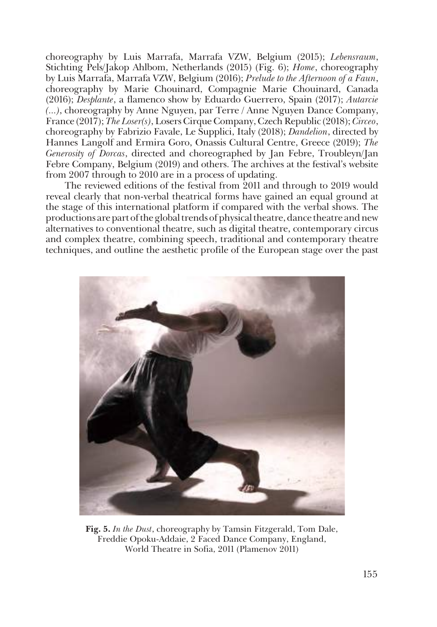choreography by Luis Marrafa, Marrafa VZW, Belgium (2015); *Lebensraum*, Stichting Pels/Jakop Ahlbom, Netherlands (2015) (Fig. 6); *Home*, choreography by Luis Marrafa, Marrafa VZW, Belgium (2016); *Prelude to the Afternoon of a Faun*, choreography by Marie Chouinard, Compagnie Marie Chouinard, Canada (2016); *Desplante*, a flamenco show by Eduardo Guerrero, Spain (2017); *Autarcie (...)*, choreography by Anne Nguyen, par Terre / Anne Nguyen Dance Company, France (2017); *The Loser(s)*, Losers Cirque Company, Czech Republic (2018); *Circeo*, choreography by Fabrizio Favale, Le Supplici, Italy (2018); *Dandelion*, directed by Hannes Langolf and Ermira Goro, Onassis Cultural Centre, Greece (2019); *The Generosity of Dorcas*, directed and choreographed by Jan Febre, Troubleyn/Jan Febre Company, Belgium (2019) and others. The archives at the festival's website from 2007 through to 2010 are in a process of updating.

The reviewed editions of the festival from 2011 and through to 2019 would reveal clearly that non-verbal theatrical forms have gained an equal ground at the stage of this international platform if compared with the verbal shows. The productions are part of the global trends of physical theatre, dance theatre and new alternatives to conventional theatre, such as digital theatre, contemporary circus and complex theatre, combining speech, traditional and contemporary theatre techniques, and outline the aesthetic profile of the European stage over the past



**Fig. 5.** *In the Dust*, choreography by Tamsin Fitzgerald, Tom Dale, Freddie Opoku-Addaie, 2 Faced Dance Company, England, World Theatre in Sofia, 2011 (Plamenov 2011)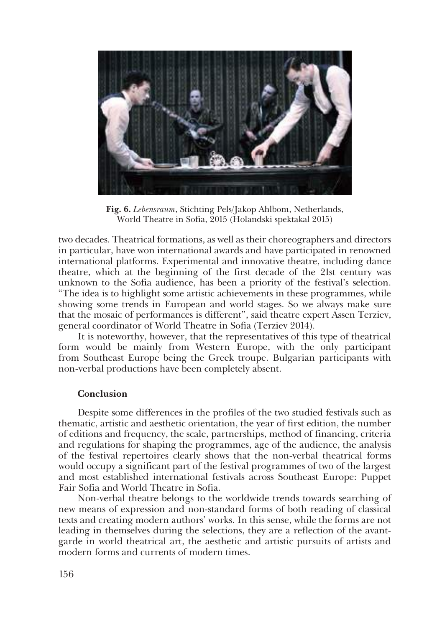

**Fig. 6.** *Lebensraum*, Stichting Pels/Jakop Ahlbom, Netherlands, World Theatre in Sofia, 2015 (Holandski spektakal 2015)

two decades. Theatrical formations, as well as their choreographers and directors in particular, have won international awards and have participated in renowned international platforms. Experimental and innovative theatre, including dance theatre, which at the beginning of the first decade of the 21st century was unknown to the Sofia audience, has been a priority of the festival's selection. "The idea is to highlight some artistic achievements in these programmes, while showing some trends in European and world stages. So we always make sure that the mosaic of performances is different", said theatre expert Assen Terziev, general coordinator of World Theatre in Sofia (Terziev 2014).

It is noteworthy, however, that the representatives of this type of theatrical form would be mainly from Western Europe, with the only participant from Southeast Europe being the Greek troupe. Bulgarian participants with non-verbal productions have been completely absent.

### **Conclusion**

Despite some differences in the profiles of the two studied festivals such as thematic, artistic and aesthetic orientation, the year of first edition, the number of editions and frequency, the scale, partnerships, method of financing, criteria and regulations for shaping the programmes, age of the audience, the analysis of the festival repertoires clearly shows that the non-verbal theatrical forms would occupy a significant part of the festival programmes of two of the largest and most established international festivals across Southeast Europe: Puppet Fair Sofia and World Theatre in Sofia.

Non-verbal theatre belongs to the worldwide trends towards searching of new means of expression and non-standard forms of both reading of classical texts and creating modern authors' works. In this sense, while the forms are not leading in themselves during the selections, they are a reflection of the avantgarde in world theatrical art, the aesthetic and artistic pursuits of artists and modern forms and currents of modern times.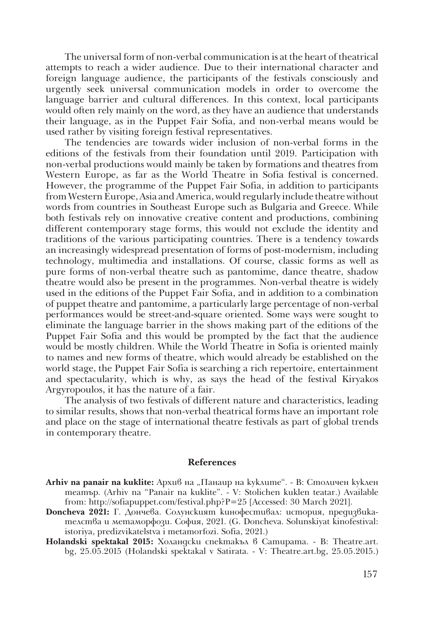The universal form of non-verbal communication is at the heart of theatrical attempts to reach a wider audience. Due to their international character and foreign language audience, the participants of the festivals consciously and urgently seek universal communication models in order to overcome the language barrier and cultural differences. In this context, local participants would often rely mainly on the word, as they have an audience that understands their language, as in the Puppet Fair Sofia, and non-verbal means would be used rather by visiting foreign festival representatives.

The tendencies are towards wider inclusion of non-verbal forms in the editions of the festivals from their foundation until 2019. Participation with non-verbal productions would mainly be taken by formations and theatres from Western Europe, as far as the World Theatre in Sofia festival is concerned. However, the programme of the Puppet Fair Sofia, in addition to participants from Western Europe, Asia and America, would regularly include theatre without words from countries in Southeast Europe such as Bulgaria and Greece. While both festivals rely on innovative creative content and productions, combining different contemporary stage forms, this would not exclude the identity and traditions of the various participating countries. There is a tendency towards an increasingly widespread presentation of forms of post-modernism, including technology, multimedia and installations. Of course, classic forms as well as pure forms of non-verbal theatre such as pantomime, dance theatre, shadow theatre would also be present in the programmes. Non-verbal theatre is widely used in the editions of the Puppet Fair Sofia, and in addition to a combination of puppet theatre and pantomime, a particularly large percentage of non-verbal performances would be street-and-square oriented. Some ways were sought to eliminate the language barrier in the shows making part of the editions of the Puppet Fair Sofia and this would be prompted by the fact that the audience would be mostly children. While the World Theatre in Sofia is oriented mainly to names and new forms of theatre, which would already be established on the world stage, the Puppet Fair Sofia is searching a rich repertoire, entertainment and spectacularity, which is why, as says the head of the festival Kiryakos Argyropoulos, it has the nature of a fair.

The analysis of two festivals of different nature and characteristics, leading to similar results, shows that non-verbal theatrical forms have an important role and place on the stage of international theatre festivals as part of global trends in contemporary theatre.

#### **References**

- **Arhiv na panair na kuklite:** Архив на "Панаир на куклите". В: Столичен куклен театър. (Arhiv na "Panair na kuklite". - V: Stolichen kuklen teatar.) Available from: http://sofiapuppet.com/festival.php?P=25 [Accessed: 30 March 2021].
- **Doncheva 2021:** Г. Дончева. Солунският кинофестивал: история, предизвикателства и метаморфози. София, 2021. (G. Doncheva. Solunskiyat kinofestival: istoriya, predizvikatelstva i metamorfozi. Sofia, 2021.)
- **Holandski spektakal 2015:** Холандски спектакъл в Сатирата. В: Theatre.art. bg, 25.05.2015 (Holandski spektakal v Satirata. - V: Theatre.art.bg, 25.05.2015.)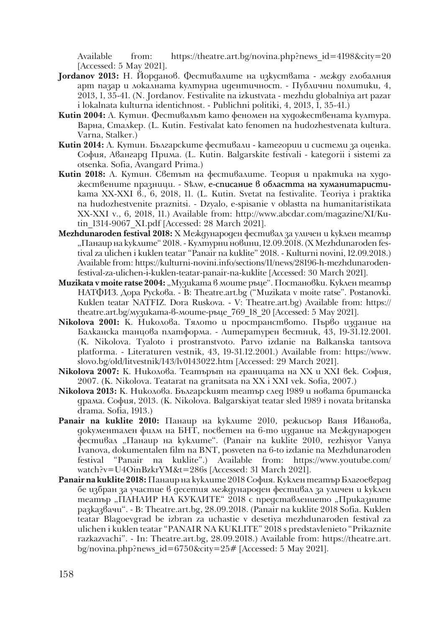Available from: https://theatre.art.bg/novina.php?news\_id=4198&city=20 [Accessed: 5 May 2021].

- **Jordanov 2013:** Н. Йорданов. Фестивалите на изкуствата между глобалния арт пазар и локалната културна идентичност. - Публични политики, 4, 2013, 1, 35-41. (N. Jordanov. Festivalite na izkustvata - mezhdu globalniya art pazar i lokalnata kulturna identichnost. - Publichni politiki, 4, 2013, 1, 35-41.)
- **Kutin 2004:** Л. Кутин. Фестивалът като феномен на художествената култура. Варна, Сталкер. (L. Kutin. Festivalat kato fenomen na hudozhestvenata kultura. Varna, Stalker.)
- **Kutin 2014:** Л. Кутин. Българските фестивали категории и системи за оценка. София, Авангард Прима. (L. Kutin. Balgarskite festivali - kategorii i sistemi za otsenka. Sofia, Avangard Prima.)
- **Kutin 2018:** Л. Кутин. Светът на фестивалите. Теория и практика на художествените празници. -  $S$  $\alpha$ м, e-списание в областта на хуманитаристиката ХX-ХХI в., 6, 2018, 11. (L. Kutin. Svetat na festivalite. Teoriya i praktika na hudozhestvenite praznitsi. - Dzyalo, e-spisanie v oblastta na humanitaristikata ХX-ХХI v., 6, 2018, 11.) Available from: http://www.abcdar.com/magazine/XI/Kutin\_1314-9067\_XI.pdf [Accessed: 28 March 2021].
- **Mezhdunaroden festival 2018:** Х Международен фестивал за уличен и куклен театър "Панаир на куклите" 2018. - Културни новини, 12.09.2018. (X Mezhdunaroden festival za ulichen i kuklen teatar "Panair na kuklite" 2018. - Kulturni novini, 12.09.2018.) Available from: https://kulturni-novini.info/sections/11/news/28196-h-mezhdunarodenfestival-za-ulichen-i-kuklen-teatar-panair-na-kuklite [Accessed: 30 March 2021].
- Muzikata v moite ratse 2004: "Музиката в моите ръце". Постановки. Куклен театър НАТФИЗ. Дора Рускова. - В: Тheatre.art.bg ("Muzikata v moite ratse". Postanovki. Kuklen teatar NATFIZ. Dora Ruskova. - V: Тheatre.art.bg) Available from: https:// theatre.art.bg/музиката-в-моите-ръце\_769\_18\_20 [Accessed: 5 May 2021].
- **Nikolova 2001:** К. Николова. Тялото и пространството. Първо издание на Балканска танцова платформа. - Литературен вестник, 43, 19-31.12.2001. (K. Nikolova. Tyaloto i prostranstvoto. Parvo izdanie na Balkanska tantsova platforma. - Literaturen vestnik, 43, 19-31.12.2001.) Available from: https://www. slovo.bg/old/litvestnik/143/lv0143022.htm [Accessed: 29 March 2021].
- **Nikolova 2007:** К. Николова. Театърът на границата на XX и XXI век. София, 2007. (K. Nikolova. Teatarat na granitsata na XX i XXI vek. Sofia, 2007.)
- **Nikolova 2013:** К. Николова. Българският театър след 1989 и новата британска драма. София, 2013. (K. Nikolova. Balgarskiyat teatar sled 1989 i novata britanska drama. Sofia, 1913.)
- **Panair na kuklite 2010:** Панаир на куклите 2010, режисьор Ваня Иванова, документален филм на БНТ, посветен на 6-то издание на Международен фестивал "Панаир на куклите". (Panair na kuklite 2010, rezhisyor Vanya Ivanova, dokumentalen film na BNT, posveten na 6-to izdanie na Mezhdunaroden festival "Panair na kuklite".) Available from: https://www.youtube.com/ watch?v=U4OinBzkrYM&t=286s [Accessed: 31 March 2021].
- **Panair na kuklite 2018:** Панаир на куклите 2018 София. Куклен театър Благоевград бе избран за участие в десетия международен фестивал за уличен и куклен театър "ПАНАИР НА КУКЛИТЕ" 2018 с представлението "Приказните разказвачи". - В: Тheatre.art.bg, 28.09.2018. (Panair na kuklite 2018 Sofia. Kuklen teatar Blagoevgrad be izbran za uchastie v desetiya mezhdunaroden festival za ulichen i kuklen teatar "PANAIR NA KUKLITE" 2018 s predstavlenieto "Prikaznite razkazvachi". - In: Theatre.art.bg, 28.09.2018.) Available from: https://theatre.art. bg/novina.php?news\_id=6750&city=25# [Accessed: 5 May 2021].